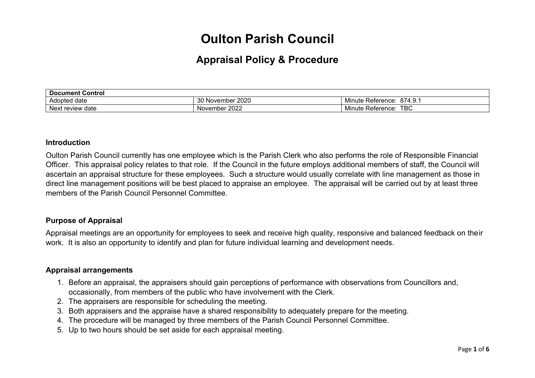# **Oulton Parish Council**

# **Appraisal Policy & Procedure**

| <b>Document Control</b>              |                                  |                                                     |  |  |
|--------------------------------------|----------------------------------|-----------------------------------------------------|--|--|
| date<br>Adopted                      | っへ い<br>2020<br>∕ November<br>υv | 874.9.<br>.<br>Rataranca<br>Minute<br>NGIGI GI IVG. |  |  |
| Nex <sup>†</sup><br>. review<br>date | 2022<br>November                 | <b>TBC</b><br>--<br>Reference<br>Minute             |  |  |

#### **Introduction**

Oulton Parish Council currently has one employee which is the Parish Clerk who also performs the role of Responsible Financial Officer. This appraisal policy relates to that role. If the Council in the future employs additional members of staff, the Council will ascertain an appraisal structure for these employees. Such a structure would usually correlate with line management as those in direct line management positions will be best placed to appraise an employee. The appraisal will be carried out by at least three members of the Parish Council Personnel Committee.

#### **Purpose of Appraisal**

Appraisal meetings are an opportunity for employees to seek and receive high quality, responsive and balanced feedback on their work. It is also an opportunity to identify and plan for future individual learning and development needs.

#### **Appraisal arrangements**

- 1. Before an appraisal, the appraisers should gain perceptions of performance with observations from Councillors and, occasionally, from members of the public who have involvement with the Clerk.
- 2. The appraisers are responsible for scheduling the meeting.
- 3. Both appraisers and the appraise have a shared responsibility to adequately prepare for the meeting.
- 4. The procedure will be managed by three members of the Parish Council Personnel Committee.
- 5. Up to two hours should be set aside for each appraisal meeting.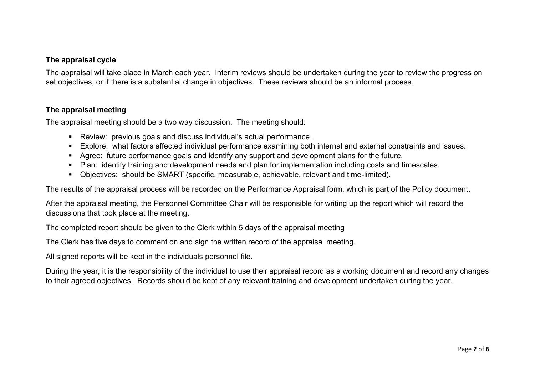## **The appraisal cycle**

The appraisal will take place in March each year. Interim reviews should be undertaken during the year to review the progress on set objectives, or if there is a substantial change in objectives. These reviews should be an informal process.

### **The appraisal meeting**

The appraisal meeting should be a two way discussion. The meeting should:

- Review: previous goals and discuss individual's actual performance.
- Explore: what factors affected individual performance examining both internal and external constraints and issues.
- Agree: future performance goals and identify any support and development plans for the future.
- Plan: identify training and development needs and plan for implementation including costs and timescales.
- Obiectives: should be SMART (specific, measurable, achievable, relevant and time-limited).

The results of the appraisal process will be recorded on the Performance Appraisal form, which is part of the Policy document.

After the appraisal meeting, the Personnel Committee Chair will be responsible for writing up the report which will record the discussions that took place at the meeting.

The completed report should be given to the Clerk within 5 days of the appraisal meeting

The Clerk has five days to comment on and sign the written record of the appraisal meeting.

All signed reports will be kept in the individuals personnel file.

During the year, it is the responsibility of the individual to use their appraisal record as a working document and record any changes to their agreed objectives. Records should be kept of any relevant training and development undertaken during the year.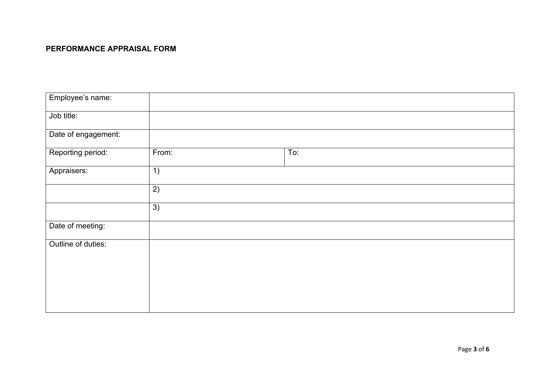# **PERFORMANCE APPRAISAL FORM**

| Employee's name:    |       |     |
|---------------------|-------|-----|
| Job title:          |       |     |
| Date of engagement: |       |     |
| Reporting period:   | From: | To: |
| Appraisers:         | 1)    |     |
|                     | 2)    |     |
|                     | 3)    |     |
| Date of meeting:    |       |     |
| Outline of duties:  |       |     |
|                     |       |     |
|                     |       |     |
|                     |       |     |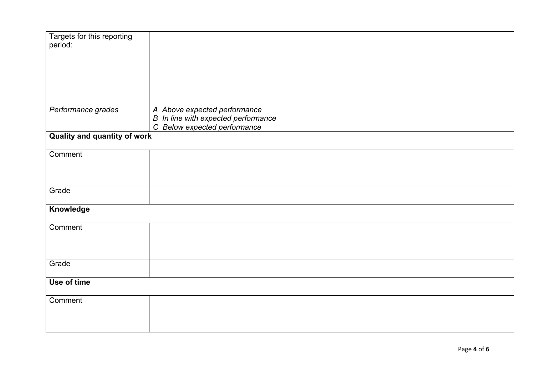| Targets for this reporting<br>period: |                                                                                                     |  |
|---------------------------------------|-----------------------------------------------------------------------------------------------------|--|
| Performance grades                    | A Above expected performance<br>B In line with expected performance<br>C Below expected performance |  |
| <b>Quality and quantity of work</b>   |                                                                                                     |  |
| Comment                               |                                                                                                     |  |
| Grade                                 |                                                                                                     |  |
| Knowledge                             |                                                                                                     |  |
| Comment                               |                                                                                                     |  |
| Grade                                 |                                                                                                     |  |
| Use of time                           |                                                                                                     |  |
| Comment                               |                                                                                                     |  |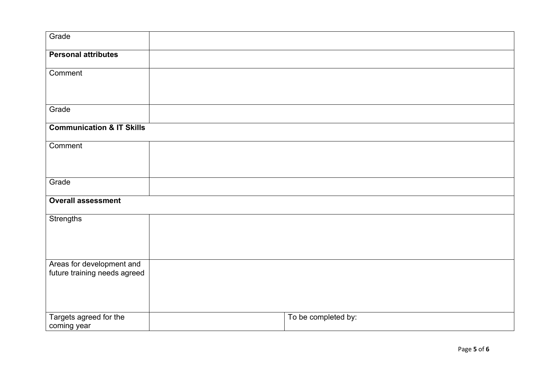| Grade                                                     |                     |
|-----------------------------------------------------------|---------------------|
| <b>Personal attributes</b>                                |                     |
| Comment                                                   |                     |
| Grade                                                     |                     |
| <b>Communication &amp; IT Skills</b>                      |                     |
| Comment                                                   |                     |
| Grade                                                     |                     |
| <b>Overall assessment</b>                                 |                     |
| Strengths                                                 |                     |
| Areas for development and<br>future training needs agreed |                     |
| Targets agreed for the<br>coming year                     | To be completed by: |